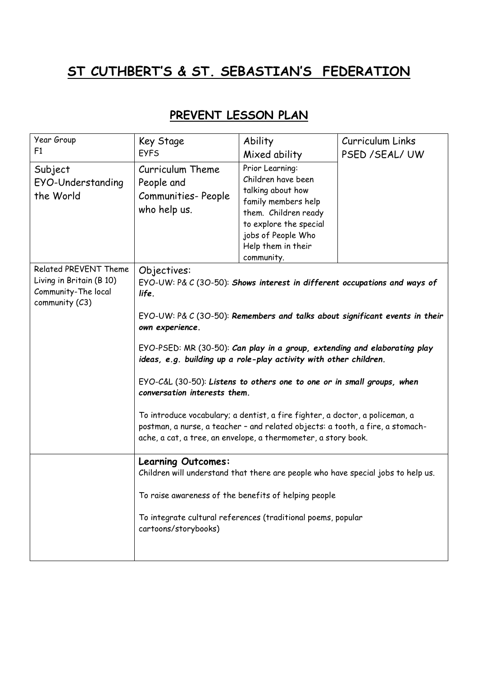## **ST CUTHBERT'S & ST. SEBASTIAN'S FEDERATION**

| PREVENT LESSON PLAN |
|---------------------|
|---------------------|

| Year Group<br>F <sub>1</sub>                                                               | Key Stage<br><b>EYFS</b>                                                                                                                                                                                                                                                                                                                                                                                                                                                                                                                                                                                                                                                                            | Ability<br>Mixed ability                                                                                                                                                                      | Curriculum Links<br>PSED / SEAL/ UW |
|--------------------------------------------------------------------------------------------|-----------------------------------------------------------------------------------------------------------------------------------------------------------------------------------------------------------------------------------------------------------------------------------------------------------------------------------------------------------------------------------------------------------------------------------------------------------------------------------------------------------------------------------------------------------------------------------------------------------------------------------------------------------------------------------------------------|-----------------------------------------------------------------------------------------------------------------------------------------------------------------------------------------------|-------------------------------------|
| Subject<br>EYO-Understanding<br>the World                                                  | Curriculum Theme<br>People and<br>Communities-People<br>who help us.                                                                                                                                                                                                                                                                                                                                                                                                                                                                                                                                                                                                                                | Prior Learning:<br>Children have been<br>talking about how<br>family members help<br>them. Children ready<br>to explore the special<br>jobs of People Who<br>Help them in their<br>community. |                                     |
| Related PREVENT Theme<br>Living in Britain (B 10)<br>Community-The local<br>community (C3) | Objectives:<br>EYO-UW: P& C (3O-50): Shows interest in different occupations and ways of<br>life.<br>EYO-UW: P& C (3O-50): Remembers and talks about significant events in their<br>own experience.<br>EYO-PSED: MR (30-50): Can play in a group, extending and elaborating play<br>ideas, e.g. building up a role-play activity with other children.<br>EYO-C&L (30-50): Listens to others one to one or in small groups, when<br>conversation interests them.<br>To introduce vocabulary; a dentist, a fire fighter, a doctor, a policeman, a<br>postman, a nurse, a teacher - and related objects: a tooth, a fire, a stomach-<br>ache, a cat, a tree, an envelope, a thermometer, a story book. |                                                                                                                                                                                               |                                     |
|                                                                                            | <b>Learning Outcomes:</b><br>Children will understand that there are people who have special jobs to help us.<br>To raise awareness of the benefits of helping people<br>To integrate cultural references (traditional poems, popular<br>cartoons/storybooks)                                                                                                                                                                                                                                                                                                                                                                                                                                       |                                                                                                                                                                                               |                                     |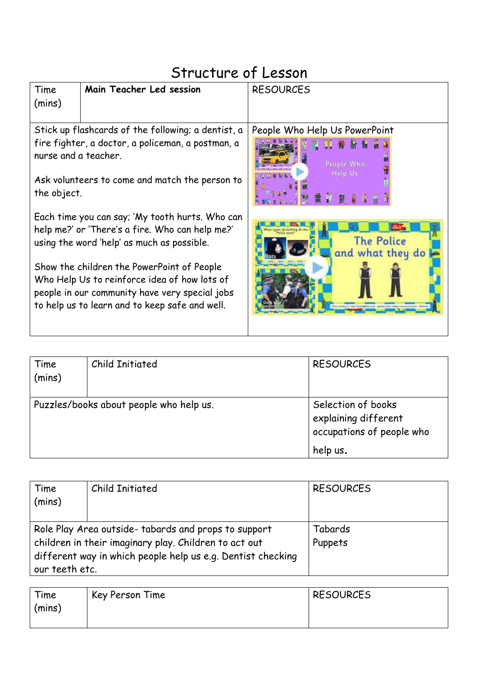## Structure of Lesson Main Teacher Led session | RESOURCES Time (mins) Stick up flashcards of the following; a dentist, a People Who Help Us PowerPoint fire fighter, a doctor, a policeman, a postman, a 图 图 番 股 版 nurse and a teacher. People Who Ask volunteers to come and match the person to the object. Each time you can say; 'My tooth hurts. Who can help me?' or 'There's a fire. Who can help me?' **The Police** using the word 'help' as much as possible. and what they do Show the children the PowerPoint of People Who Help Us to reinforce idea of how lots of people in our community have very special jobs to help us to learn and to keep safe and well.

| Time<br>(mins)                          | <b>Child Initiated</b> | <b>RESOURCES</b>                                                        |
|-----------------------------------------|------------------------|-------------------------------------------------------------------------|
| Puzzles/books about people who help us. |                        | Selection of books<br>explaining different<br>occupations of people who |
|                                         |                        | help us.                                                                |

| Time<br>(mins)                                                                                                                         | Child Initiated | <b>RESOURCES</b> |
|----------------------------------------------------------------------------------------------------------------------------------------|-----------------|------------------|
|                                                                                                                                        |                 |                  |
| Role Play Area outside-tabards and props to support                                                                                    |                 | Tabards          |
| children in their imaginary play. Children to act out<br>different way in which people help us e.g. Dentist checking<br>our teeth etc. |                 | Puppets          |
|                                                                                                                                        |                 |                  |

| Time<br>(mins) | Key Person Time | <b>RESOURCES</b> |
|----------------|-----------------|------------------|
|                |                 |                  |